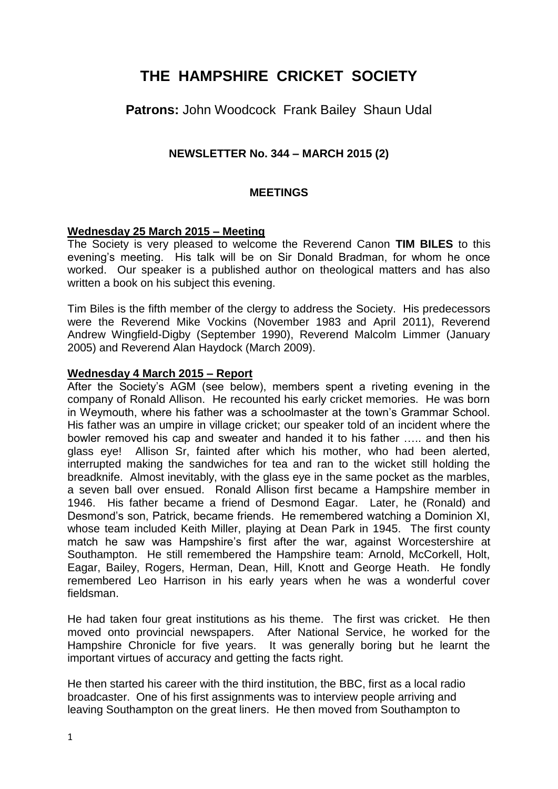# **THE HAMPSHIRE CRICKET SOCIETY**

## **Patrons:** John Woodcock Frank Bailey Shaun Udal

## **NEWSLETTER No. 344 – MARCH 2015 (2)**

#### **MEETINGS**

#### **Wednesday 25 March 2015 – Meeting**

The Society is very pleased to welcome the Reverend Canon **TIM BILES** to this evening's meeting. His talk will be on Sir Donald Bradman, for whom he once worked. Our speaker is a published author on theological matters and has also written a book on his subject this evening.

Tim Biles is the fifth member of the clergy to address the Society. His predecessors were the Reverend Mike Vockins (November 1983 and April 2011), Reverend Andrew Wingfield-Digby (September 1990), Reverend Malcolm Limmer (January 2005) and Reverend Alan Haydock (March 2009).

#### **Wednesday 4 March 2015 – Report**

After the Society's AGM (see below), members spent a riveting evening in the company of Ronald Allison. He recounted his early cricket memories. He was born in Weymouth, where his father was a schoolmaster at the town's Grammar School. His father was an umpire in village cricket; our speaker told of an incident where the bowler removed his cap and sweater and handed it to his father ….. and then his glass eye! Allison Sr, fainted after which his mother, who had been alerted, interrupted making the sandwiches for tea and ran to the wicket still holding the breadknife. Almost inevitably, with the glass eye in the same pocket as the marbles, a seven ball over ensued. Ronald Allison first became a Hampshire member in 1946. His father became a friend of Desmond Eagar. Later, he (Ronald) and Desmond's son, Patrick, became friends. He remembered watching a Dominion XI, whose team included Keith Miller, playing at Dean Park in 1945. The first county match he saw was Hampshire's first after the war, against Worcestershire at Southampton. He still remembered the Hampshire team: Arnold, McCorkell, Holt, Eagar, Bailey, Rogers, Herman, Dean, Hill, Knott and George Heath. He fondly remembered Leo Harrison in his early years when he was a wonderful cover fieldsman.

He had taken four great institutions as his theme. The first was cricket. He then moved onto provincial newspapers. After National Service, he worked for the Hampshire Chronicle for five years. It was generally boring but he learnt the important virtues of accuracy and getting the facts right.

He then started his career with the third institution, the BBC, first as a local radio broadcaster. One of his first assignments was to interview people arriving and leaving Southampton on the great liners. He then moved from Southampton to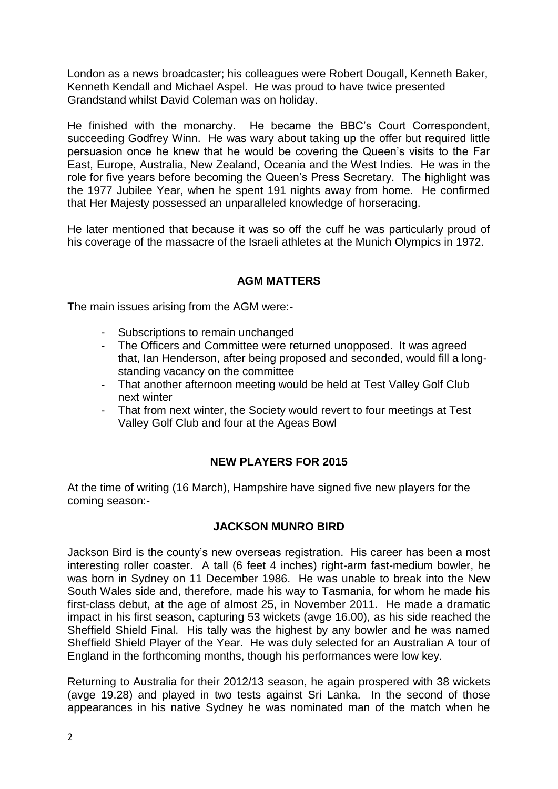London as a news broadcaster; his colleagues were Robert Dougall, Kenneth Baker, Kenneth Kendall and Michael Aspel. He was proud to have twice presented Grandstand whilst David Coleman was on holiday.

He finished with the monarchy. He became the BBC's Court Correspondent, succeeding Godfrey Winn. He was wary about taking up the offer but required little persuasion once he knew that he would be covering the Queen's visits to the Far East, Europe, Australia, New Zealand, Oceania and the West Indies. He was in the role for five years before becoming the Queen's Press Secretary. The highlight was the 1977 Jubilee Year, when he spent 191 nights away from home. He confirmed that Her Majesty possessed an unparalleled knowledge of horseracing.

He later mentioned that because it was so off the cuff he was particularly proud of his coverage of the massacre of the Israeli athletes at the Munich Olympics in 1972.

## **AGM MATTERS**

The main issues arising from the AGM were:-

- Subscriptions to remain unchanged
- The Officers and Committee were returned unopposed. It was agreed that, Ian Henderson, after being proposed and seconded, would fill a longstanding vacancy on the committee
- That another afternoon meeting would be held at Test Valley Golf Club next winter
- That from next winter, the Society would revert to four meetings at Test Valley Golf Club and four at the Ageas Bowl

## **NEW PLAYERS FOR 2015**

At the time of writing (16 March), Hampshire have signed five new players for the coming season:-

#### **JACKSON MUNRO BIRD**

Jackson Bird is the county's new overseas registration. His career has been a most interesting roller coaster. A tall (6 feet 4 inches) right-arm fast-medium bowler, he was born in Sydney on 11 December 1986. He was unable to break into the New South Wales side and, therefore, made his way to Tasmania, for whom he made his first-class debut, at the age of almost 25, in November 2011. He made a dramatic impact in his first season, capturing 53 wickets (avge 16.00), as his side reached the Sheffield Shield Final. His tally was the highest by any bowler and he was named Sheffield Shield Player of the Year. He was duly selected for an Australian A tour of England in the forthcoming months, though his performances were low key.

Returning to Australia for their 2012/13 season, he again prospered with 38 wickets (avge 19.28) and played in two tests against Sri Lanka. In the second of those appearances in his native Sydney he was nominated man of the match when he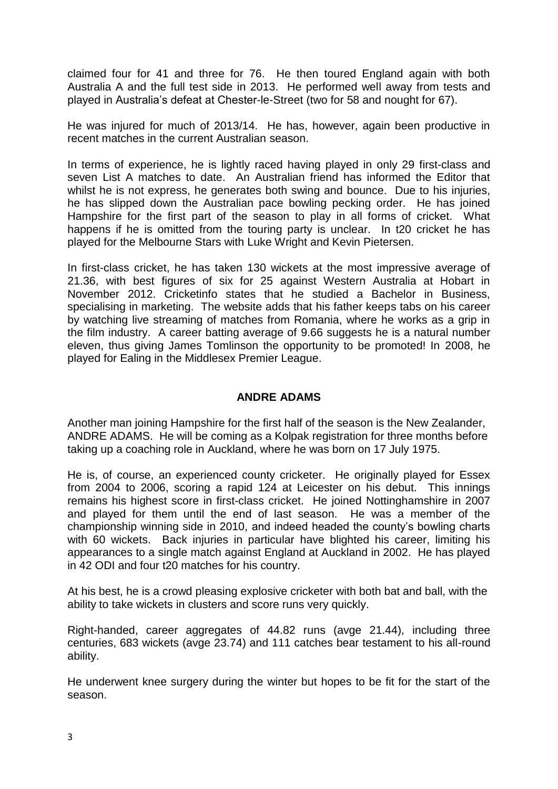claimed four for 41 and three for 76. He then toured England again with both Australia A and the full test side in 2013. He performed well away from tests and played in Australia's defeat at Chester-le-Street (two for 58 and nought for 67).

He was injured for much of 2013/14. He has, however, again been productive in recent matches in the current Australian season.

In terms of experience, he is lightly raced having played in only 29 first-class and seven List A matches to date. An Australian friend has informed the Editor that whilst he is not express, he generates both swing and bounce. Due to his injuries, he has slipped down the Australian pace bowling pecking order. He has joined Hampshire for the first part of the season to play in all forms of cricket. What happens if he is omitted from the touring party is unclear. In t20 cricket he has played for the Melbourne Stars with Luke Wright and Kevin Pietersen.

In first-class cricket, he has taken 130 wickets at the most impressive average of 21.36, with best figures of six for 25 against Western Australia at Hobart in November 2012. Cricketinfo states that he studied a Bachelor in Business, specialising in marketing. The website adds that his father keeps tabs on his career by watching live streaming of matches from Romania, where he works as a grip in the film industry. A career batting average of 9.66 suggests he is a natural number eleven, thus giving James Tomlinson the opportunity to be promoted! In 2008, he played for Ealing in the Middlesex Premier League.

#### **ANDRE ADAMS**

Another man joining Hampshire for the first half of the season is the New Zealander, ANDRE ADAMS. He will be coming as a Kolpak registration for three months before taking up a coaching role in Auckland, where he was born on 17 July 1975.

He is, of course, an experienced county cricketer. He originally played for Essex from 2004 to 2006, scoring a rapid 124 at Leicester on his debut. This innings remains his highest score in first-class cricket. He joined Nottinghamshire in 2007 and played for them until the end of last season. He was a member of the championship winning side in 2010, and indeed headed the county's bowling charts with 60 wickets. Back injuries in particular have blighted his career, limiting his appearances to a single match against England at Auckland in 2002. He has played in 42 ODI and four t20 matches for his country.

At his best, he is a crowd pleasing explosive cricketer with both bat and ball, with the ability to take wickets in clusters and score runs very quickly.

Right-handed, career aggregates of 44.82 runs (avge 21.44), including three centuries, 683 wickets (avge 23.74) and 111 catches bear testament to his all-round ability.

He underwent knee surgery during the winter but hopes to be fit for the start of the season.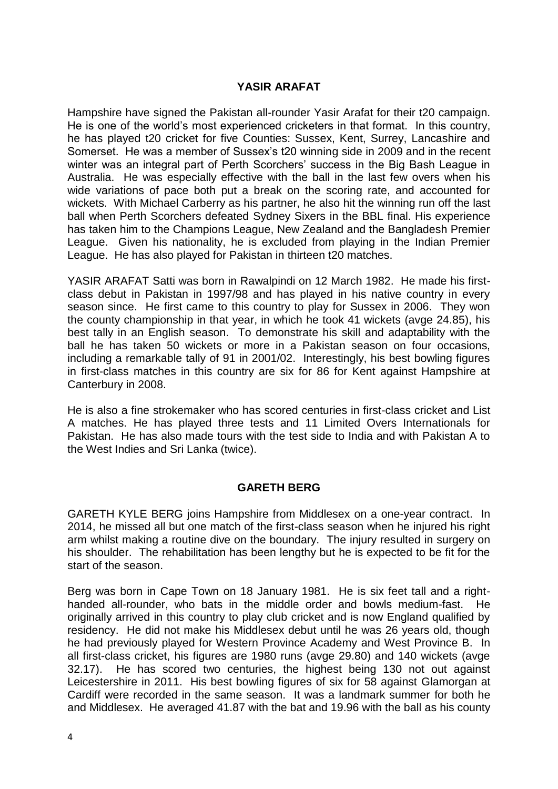## **YASIR ARAFAT**

Hampshire have signed the Pakistan all-rounder Yasir Arafat for their t20 campaign. He is one of the world's most experienced cricketers in that format. In this country, he has played t20 cricket for five Counties: Sussex, Kent, Surrey, Lancashire and Somerset. He was a member of Sussex's t20 winning side in 2009 and in the recent winter was an integral part of Perth Scorchers' success in the Big Bash League in Australia. He was especially effective with the ball in the last few overs when his wide variations of pace both put a break on the scoring rate, and accounted for wickets. With Michael Carberry as his partner, he also hit the winning run off the last ball when Perth Scorchers defeated Sydney Sixers in the BBL final. His experience has taken him to the Champions League, New Zealand and the Bangladesh Premier League. Given his nationality, he is excluded from playing in the Indian Premier League. He has also played for Pakistan in thirteen t20 matches.

YASIR ARAFAT Satti was born in Rawalpindi on 12 March 1982. He made his firstclass debut in Pakistan in 1997/98 and has played in his native country in every season since. He first came to this country to play for Sussex in 2006. They won the county championship in that year, in which he took 41 wickets (avge 24.85), his best tally in an English season. To demonstrate his skill and adaptability with the ball he has taken 50 wickets or more in a Pakistan season on four occasions, including a remarkable tally of 91 in 2001/02. Interestingly, his best bowling figures in first-class matches in this country are six for 86 for Kent against Hampshire at Canterbury in 2008.

He is also a fine strokemaker who has scored centuries in first-class cricket and List A matches. He has played three tests and 11 Limited Overs Internationals for Pakistan. He has also made tours with the test side to India and with Pakistan A to the West Indies and Sri Lanka (twice).

#### **GARETH BERG**

GARETH KYLE BERG joins Hampshire from Middlesex on a one-year contract. In 2014, he missed all but one match of the first-class season when he injured his right arm whilst making a routine dive on the boundary. The injury resulted in surgery on his shoulder. The rehabilitation has been lengthy but he is expected to be fit for the start of the season.

Berg was born in Cape Town on 18 January 1981. He is six feet tall and a righthanded all-rounder, who bats in the middle order and bowls medium-fast. He originally arrived in this country to play club cricket and is now England qualified by residency. He did not make his Middlesex debut until he was 26 years old, though he had previously played for Western Province Academy and West Province B. In all first-class cricket, his figures are 1980 runs (avge 29.80) and 140 wickets (avge 32.17). He has scored two centuries, the highest being 130 not out against Leicestershire in 2011. His best bowling figures of six for 58 against Glamorgan at Cardiff were recorded in the same season. It was a landmark summer for both he and Middlesex. He averaged 41.87 with the bat and 19.96 with the ball as his county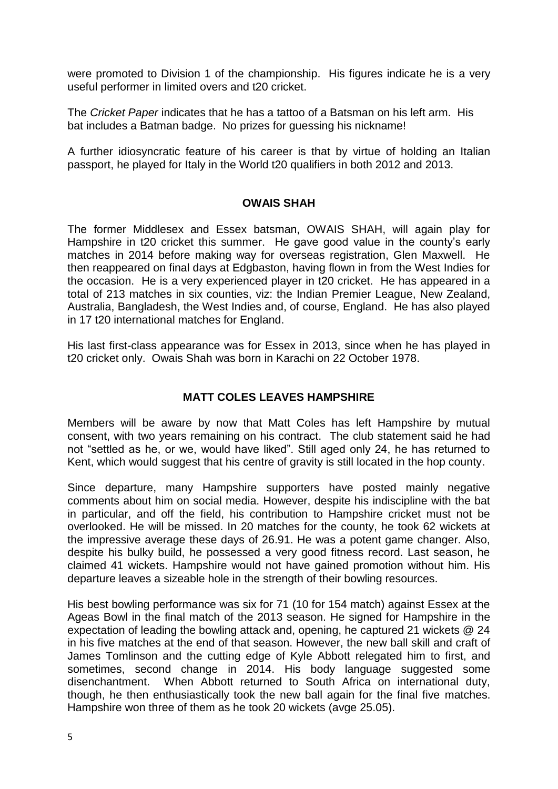were promoted to Division 1 of the championship. His figures indicate he is a very useful performer in limited overs and t20 cricket.

The *Cricket Paper* indicates that he has a tattoo of a Batsman on his left arm. His bat includes a Batman badge. No prizes for guessing his nickname!

A further idiosyncratic feature of his career is that by virtue of holding an Italian passport, he played for Italy in the World t20 qualifiers in both 2012 and 2013.

#### **OWAIS SHAH**

The former Middlesex and Essex batsman, OWAIS SHAH, will again play for Hampshire in t20 cricket this summer. He gave good value in the county's early matches in 2014 before making way for overseas registration, Glen Maxwell. He then reappeared on final days at Edgbaston, having flown in from the West Indies for the occasion. He is a very experienced player in t20 cricket. He has appeared in a total of 213 matches in six counties, viz: the Indian Premier League, New Zealand, Australia, Bangladesh, the West Indies and, of course, England. He has also played in 17 t20 international matches for England.

His last first-class appearance was for Essex in 2013, since when he has played in t20 cricket only. Owais Shah was born in Karachi on 22 October 1978.

## **MATT COLES LEAVES HAMPSHIRE**

Members will be aware by now that Matt Coles has left Hampshire by mutual consent, with two years remaining on his contract. The club statement said he had not "settled as he, or we, would have liked". Still aged only 24, he has returned to Kent, which would suggest that his centre of gravity is still located in the hop county.

Since departure, many Hampshire supporters have posted mainly negative comments about him on social media. However, despite his indiscipline with the bat in particular, and off the field, his contribution to Hampshire cricket must not be overlooked. He will be missed. In 20 matches for the county, he took 62 wickets at the impressive average these days of 26.91. He was a potent game changer. Also, despite his bulky build, he possessed a very good fitness record. Last season, he claimed 41 wickets. Hampshire would not have gained promotion without him. His departure leaves a sizeable hole in the strength of their bowling resources.

His best bowling performance was six for 71 (10 for 154 match) against Essex at the Ageas Bowl in the final match of the 2013 season. He signed for Hampshire in the expectation of leading the bowling attack and, opening, he captured 21 wickets @ 24 in his five matches at the end of that season. However, the new ball skill and craft of James Tomlinson and the cutting edge of Kyle Abbott relegated him to first, and sometimes, second change in 2014. His body language suggested some disenchantment. When Abbott returned to South Africa on international duty, though, he then enthusiastically took the new ball again for the final five matches. Hampshire won three of them as he took 20 wickets (avge 25.05).